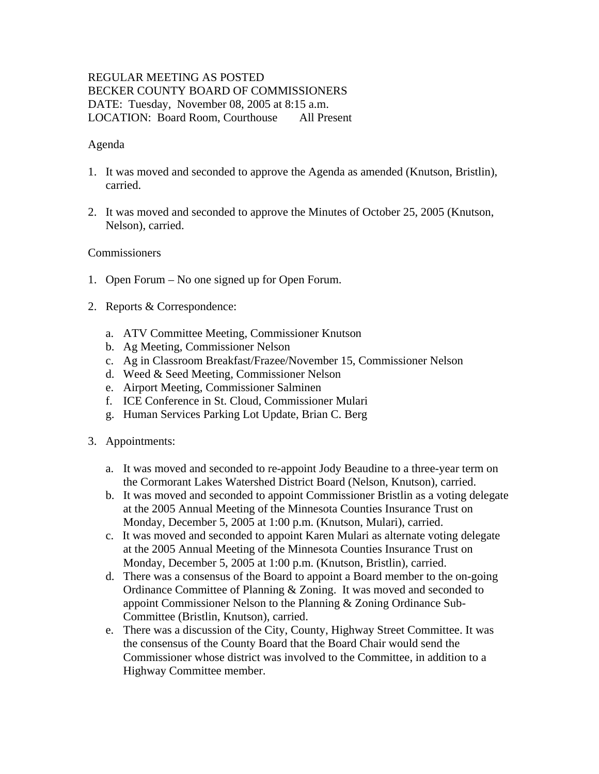## REGULAR MEETING AS POSTED BECKER COUNTY BOARD OF COMMISSIONERS DATE: Tuesday, November 08, 2005 at 8:15 a.m. LOCATION: Board Room, Courthouse All Present

## Agenda

- 1. It was moved and seconded to approve the Agenda as amended (Knutson, Bristlin), carried.
- 2. It was moved and seconded to approve the Minutes of October 25, 2005 (Knutson, Nelson), carried.

## **Commissioners**

- 1. Open Forum No one signed up for Open Forum.
- 2. Reports & Correspondence:
	- a. ATV Committee Meeting, Commissioner Knutson
	- b. Ag Meeting, Commissioner Nelson
	- c. Ag in Classroom Breakfast/Frazee/November 15, Commissioner Nelson
	- d. Weed & Seed Meeting, Commissioner Nelson
	- e. Airport Meeting, Commissioner Salminen
	- f. ICE Conference in St. Cloud, Commissioner Mulari
	- g. Human Services Parking Lot Update, Brian C. Berg
- 3. Appointments:
	- a. It was moved and seconded to re-appoint Jody Beaudine to a three-year term on the Cormorant Lakes Watershed District Board (Nelson, Knutson), carried.
	- b. It was moved and seconded to appoint Commissioner Bristlin as a voting delegate at the 2005 Annual Meeting of the Minnesota Counties Insurance Trust on Monday, December 5, 2005 at 1:00 p.m. (Knutson, Mulari), carried.
	- c. It was moved and seconded to appoint Karen Mulari as alternate voting delegate at the 2005 Annual Meeting of the Minnesota Counties Insurance Trust on Monday, December 5, 2005 at 1:00 p.m. (Knutson, Bristlin), carried.
	- d. There was a consensus of the Board to appoint a Board member to the on-going Ordinance Committee of Planning & Zoning. It was moved and seconded to appoint Commissioner Nelson to the Planning & Zoning Ordinance Sub-Committee (Bristlin, Knutson), carried.
	- e. There was a discussion of the City, County, Highway Street Committee. It was the consensus of the County Board that the Board Chair would send the Commissioner whose district was involved to the Committee, in addition to a Highway Committee member.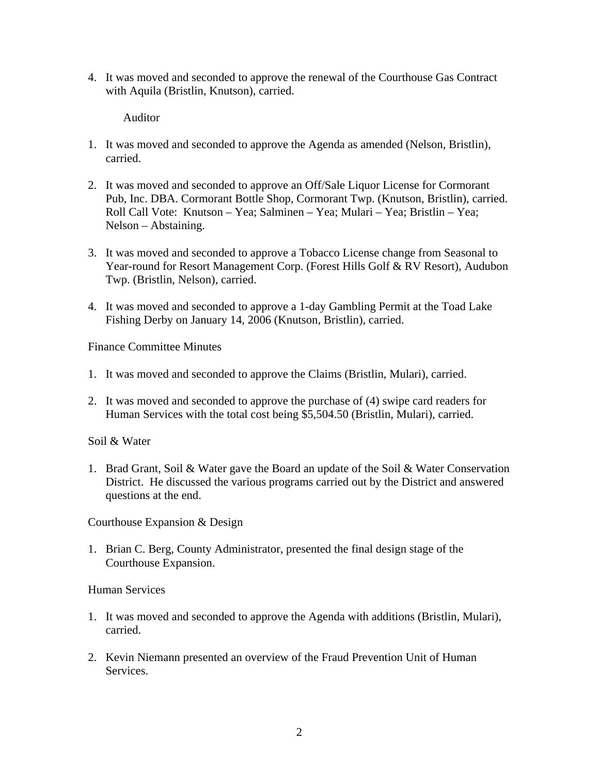4. It was moved and seconded to approve the renewal of the Courthouse Gas Contract with Aquila (Bristlin, Knutson), carried.

Auditor

- 1. It was moved and seconded to approve the Agenda as amended (Nelson, Bristlin), carried.
- 2. It was moved and seconded to approve an Off/Sale Liquor License for Cormorant Pub, Inc. DBA. Cormorant Bottle Shop, Cormorant Twp. (Knutson, Bristlin), carried. Roll Call Vote: Knutson – Yea; Salminen – Yea; Mulari – Yea; Bristlin – Yea; Nelson – Abstaining.
- 3. It was moved and seconded to approve a Tobacco License change from Seasonal to Year-round for Resort Management Corp. (Forest Hills Golf & RV Resort), Audubon Twp. (Bristlin, Nelson), carried.
- 4. It was moved and seconded to approve a 1-day Gambling Permit at the Toad Lake Fishing Derby on January 14, 2006 (Knutson, Bristlin), carried.

Finance Committee Minutes

- 1. It was moved and seconded to approve the Claims (Bristlin, Mulari), carried.
- 2. It was moved and seconded to approve the purchase of (4) swipe card readers for Human Services with the total cost being \$5,504.50 (Bristlin, Mulari), carried.

Soil & Water

1. Brad Grant, Soil & Water gave the Board an update of the Soil & Water Conservation District. He discussed the various programs carried out by the District and answered questions at the end.

Courthouse Expansion & Design

1. Brian C. Berg, County Administrator, presented the final design stage of the Courthouse Expansion.

Human Services

- 1. It was moved and seconded to approve the Agenda with additions (Bristlin, Mulari), carried.
- 2. Kevin Niemann presented an overview of the Fraud Prevention Unit of Human Services.